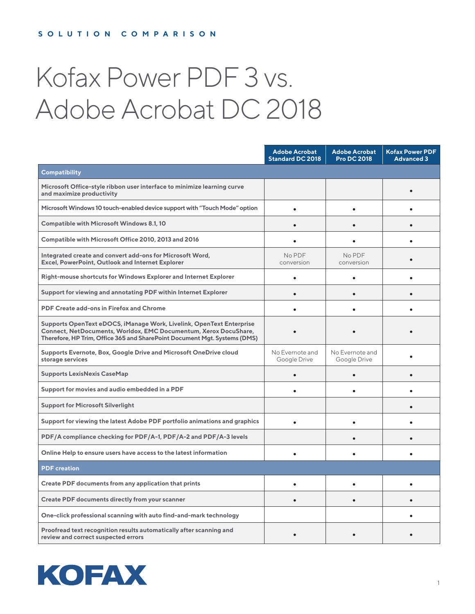# Kofax Power PDF 3 vs. Adobe Acrobat DC 2018

|                                                                                                                                                                                                                       | <b>Adobe Acrobat</b><br><b>Standard DC 2018</b> | <b>Adobe Acrobat</b><br><b>Pro DC 2018</b> | <b>Kofax Power PDF</b><br><b>Advanced 3</b> |
|-----------------------------------------------------------------------------------------------------------------------------------------------------------------------------------------------------------------------|-------------------------------------------------|--------------------------------------------|---------------------------------------------|
| Compatibility                                                                                                                                                                                                         |                                                 |                                            |                                             |
| Microsoft Office-style ribbon user interface to minimize learning curve<br>and maximize productivity                                                                                                                  |                                                 |                                            |                                             |
| Microsoft Windows 10 touch-enabled device support with "Touch Mode" option                                                                                                                                            |                                                 |                                            |                                             |
| <b>Compatible with Microsoft Windows 8.1, 10</b>                                                                                                                                                                      |                                                 |                                            |                                             |
| Compatible with Microsoft Office 2010, 2013 and 2016                                                                                                                                                                  |                                                 |                                            |                                             |
| Integrated create and convert add-ons for Microsoft Word,<br>Excel, PowerPoint, Outlook and Internet Explorer                                                                                                         | No PDF<br>conversion                            | No PDF<br>conversion                       |                                             |
| Right-mouse shortcuts for Windows Explorer and Internet Explorer                                                                                                                                                      |                                                 |                                            |                                             |
| Support for viewing and annotating PDF within Internet Explorer                                                                                                                                                       |                                                 |                                            |                                             |
| PDF Create add-ons in Firefox and Chrome                                                                                                                                                                              |                                                 |                                            |                                             |
| Supports OpenText eDOCS, iManage Work, Livelink, OpenText Enterprise<br>Connect, NetDocuments, Worldox, EMC Documentum, Xerox DocuShare,<br>Therefore, HP Trim, Office 365 and SharePoint Document Mgt. Systems (DMS) |                                                 |                                            |                                             |
| Supports Evernote, Box, Google Drive and Microsoft OneDrive cloud<br>storage services                                                                                                                                 | No Evernote and<br>Google Drive                 | No Evernote and<br>Google Drive            |                                             |
| <b>Supports LexisNexis CaseMap</b>                                                                                                                                                                                    |                                                 |                                            |                                             |
| Support for movies and audio embedded in a PDF                                                                                                                                                                        |                                                 |                                            |                                             |
| <b>Support for Microsoft Silverlight</b>                                                                                                                                                                              |                                                 |                                            |                                             |
| Support for viewing the latest Adobe PDF portfolio animations and graphics                                                                                                                                            |                                                 | ٠                                          |                                             |
| PDF/A compliance checking for PDF/A-1, PDF/A-2 and PDF/A-3 levels                                                                                                                                                     |                                                 |                                            |                                             |
| Online Help to ensure users have access to the latest information                                                                                                                                                     |                                                 |                                            |                                             |
| <b>PDF</b> creation                                                                                                                                                                                                   |                                                 |                                            |                                             |
| Create PDF documents from any application that prints                                                                                                                                                                 |                                                 |                                            |                                             |
| Create PDF documents directly from your scanner                                                                                                                                                                       |                                                 |                                            |                                             |
| One-click professional scanning with auto find-and-mark technology                                                                                                                                                    |                                                 |                                            |                                             |
| Proofread text recognition results automatically after scanning and<br>review and correct suspected errors                                                                                                            |                                                 |                                            |                                             |

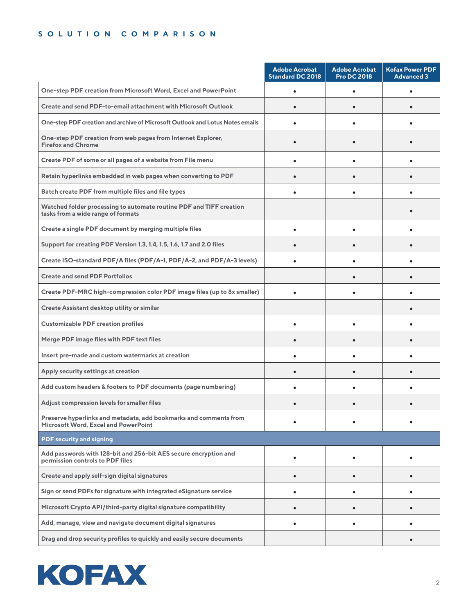|                                                                                                                  | <b>Adobe Acrobat</b><br><b>Standard DC 2018</b> | <b>Adobe Acrobat</b><br><b>Pro DC 2018</b> | <b>Kofax Power PDF</b><br><b>Advanced 3</b> |
|------------------------------------------------------------------------------------------------------------------|-------------------------------------------------|--------------------------------------------|---------------------------------------------|
| One-step PDF creation from Microsoft Word, Excel and PowerPoint                                                  |                                                 |                                            |                                             |
| Create and send PDF-to-email attachment with Microsoft Outlook                                                   |                                                 |                                            |                                             |
| One-step PDF creation and archive of Microsoft Outlook and Lotus Notes emails                                    |                                                 |                                            |                                             |
| One-step PDF creation from web pages from Internet Explorer,<br><b>Firefox and Chrome</b>                        |                                                 |                                            |                                             |
| Create PDF of some or all pages of a website from File menu                                                      |                                                 |                                            |                                             |
| Retain hyperlinks embedded in web pages when converting to PDF                                                   |                                                 |                                            |                                             |
| Batch create PDF from multiple files and file types                                                              |                                                 |                                            |                                             |
| Watched folder processing to automate routine PDF and TIFF creation<br>tasks from a wide range of formats        |                                                 |                                            |                                             |
| Create a single PDF document by merging multiple files                                                           |                                                 |                                            |                                             |
| Support for creating PDF Version 1.3, 1.4, 1.5, 1.6, 1.7 and 2.0 files                                           |                                                 |                                            |                                             |
| Create ISO-standard PDF/A files (PDF/A-1, PDF/A-2, and PDF/A-3 levels)                                           |                                                 |                                            |                                             |
| <b>Create and send PDF Portfolios</b>                                                                            |                                                 |                                            |                                             |
| Create PDF-MRC high-compression color PDF image files (up to 8x smaller)                                         |                                                 |                                            |                                             |
| Create Assistant desktop utility or similar                                                                      |                                                 |                                            |                                             |
| <b>Customizable PDF creation profiles</b>                                                                        |                                                 |                                            |                                             |
| Merge PDF image files with PDF text files                                                                        |                                                 |                                            |                                             |
| Insert pre-made and custom watermarks at creation                                                                |                                                 |                                            |                                             |
| Apply security settings at creation                                                                              |                                                 |                                            |                                             |
| Add custom headers & footers to PDF documents (page numbering)                                                   |                                                 |                                            |                                             |
| Adjust compression levels for smaller files                                                                      |                                                 |                                            |                                             |
| Preserve hyperlinks and metadata, add bookmarks and comments from<br><b>Microsoft Word, Excel and PowerPoint</b> |                                                 |                                            |                                             |
| <b>PDF security and signing</b>                                                                                  |                                                 |                                            |                                             |
| Add passwords with 128-bit and 256-bit AES secure encryption and<br>permission controls to PDF files             |                                                 |                                            |                                             |
| Create and apply self-sign digital signatures                                                                    | $\bullet$                                       |                                            | $\bullet$                                   |
| Sign or send PDFs for signature with integrated eSignature service                                               | $\bullet$                                       |                                            | ٠                                           |
| Microsoft Crypto API/third-party digital signature compatibility                                                 | $\bullet$                                       |                                            | $\bullet$                                   |
| Add, manage, view and navigate document digital signatures                                                       |                                                 |                                            |                                             |
| Drag and drop security profiles to quickly and easily secure documents                                           |                                                 |                                            |                                             |

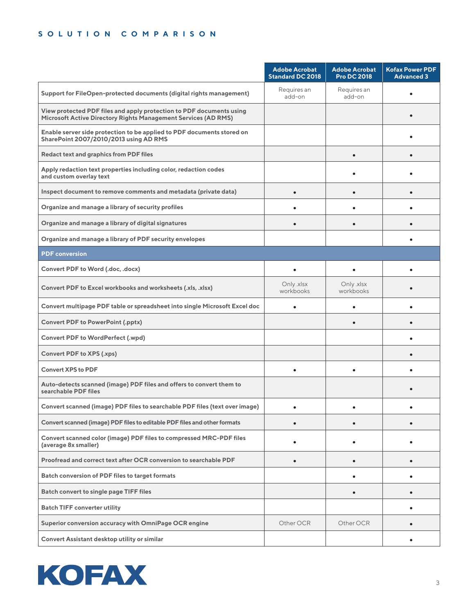|                                                                                                                                        | <b>Adobe Acrobat</b><br><b>Standard DC 2018</b> | <b>Adobe Acrobat</b><br><b>Pro DC 2018</b> | <b>Kofax Power PDF</b><br><b>Advanced 3</b> |
|----------------------------------------------------------------------------------------------------------------------------------------|-------------------------------------------------|--------------------------------------------|---------------------------------------------|
| Support for FileOpen-protected documents (digital rights management)                                                                   | Requires an<br>add-on                           | Requires an<br>add-on                      | ٠                                           |
| View protected PDF files and apply protection to PDF documents using<br>Microsoft Active Directory Rights Management Services (AD RMS) |                                                 |                                            |                                             |
| Enable server side protection to be applied to PDF documents stored on<br>SharePoint 2007/2010/2013 using AD RMS                       |                                                 |                                            |                                             |
| <b>Redact text and graphics from PDF files</b>                                                                                         |                                                 |                                            |                                             |
| Apply redaction text properties including color, redaction codes<br>and custom overlay text                                            |                                                 |                                            |                                             |
| Inspect document to remove comments and metadata (private data)                                                                        |                                                 |                                            |                                             |
| Organize and manage a library of security profiles                                                                                     |                                                 |                                            |                                             |
| Organize and manage a library of digital signatures                                                                                    |                                                 |                                            |                                             |
| Organize and manage a library of PDF security envelopes                                                                                |                                                 |                                            |                                             |
| <b>PDF</b> conversion                                                                                                                  |                                                 |                                            |                                             |
| Convert PDF to Word (.doc, .docx)                                                                                                      | $\bullet$                                       | ٠                                          | ٠                                           |
| Convert PDF to Excel workbooks and worksheets (.xls, .xlsx)                                                                            | Only .xlsx<br>workbooks                         | Only .xlsx<br>workbooks                    |                                             |
| Convert multipage PDF table or spreadsheet into single Microsoft Excel doc                                                             | $\bullet$                                       | $\bullet$                                  |                                             |
| <b>Convert PDF to PowerPoint (.pptx)</b>                                                                                               |                                                 |                                            |                                             |
| <b>Convert PDF to WordPerfect (.wpd)</b>                                                                                               |                                                 |                                            |                                             |
| Convert PDF to XPS (.xps)                                                                                                              |                                                 |                                            |                                             |
| <b>Convert XPS to PDF</b>                                                                                                              |                                                 |                                            |                                             |
| Auto-detects scanned (image) PDF files and offers to convert them to<br>searchable PDF files                                           |                                                 |                                            |                                             |
| Convert scanned (image) PDF files to searchable PDF files (text over image)                                                            |                                                 |                                            |                                             |
| Convert scanned (image) PDF files to editable PDF files and other formats                                                              |                                                 | $\bullet$                                  | $\bullet$                                   |
| Convert scanned color (image) PDF files to compressed MRC-PDF files<br>(average 8x smaller)                                            |                                                 |                                            |                                             |
| Proofread and correct text after OCR conversion to searchable PDF                                                                      | $\bullet$                                       | $\bullet$                                  | $\bullet$                                   |
| Batch conversion of PDF files to target formats                                                                                        |                                                 |                                            | ٠                                           |
| Batch convert to single page TIFF files                                                                                                |                                                 | $\bullet$                                  | $\bullet$                                   |
| <b>Batch TIFF converter utility</b>                                                                                                    |                                                 |                                            | ٠                                           |
| Superior conversion accuracy with OmniPage OCR engine                                                                                  | Other OCR                                       | Other OCR                                  |                                             |
| Convert Assistant desktop utility or similar                                                                                           |                                                 |                                            |                                             |

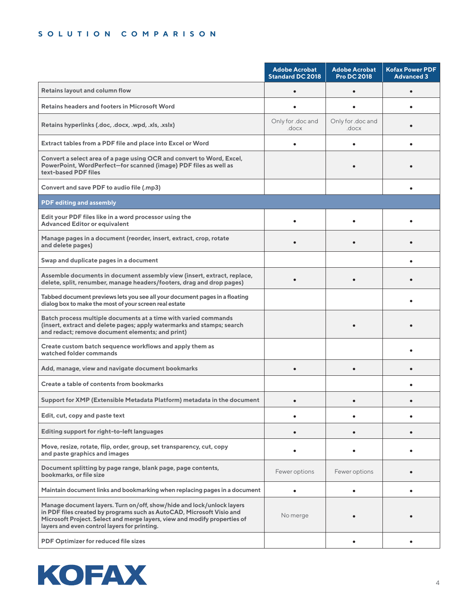|                                                                                                                                                                                                                                                                             | <b>Adobe Acrobat</b><br><b>Standard DC 2018</b> | <b>Adobe Acrobat</b><br><b>Pro DC 2018</b> | <b>Kofax Power PDF</b><br><b>Advanced 3</b> |
|-----------------------------------------------------------------------------------------------------------------------------------------------------------------------------------------------------------------------------------------------------------------------------|-------------------------------------------------|--------------------------------------------|---------------------------------------------|
| Retains layout and column flow                                                                                                                                                                                                                                              |                                                 |                                            |                                             |
| <b>Retains headers and footers in Microsoft Word</b>                                                                                                                                                                                                                        |                                                 |                                            |                                             |
| Retains hyperlinks (.doc, .docx, .wpd, .xls, .xslx)                                                                                                                                                                                                                         | Only for .doc and<br>.docx                      | Only for .doc and<br>.docx                 |                                             |
| Extract tables from a PDF file and place into Excel or Word                                                                                                                                                                                                                 |                                                 |                                            |                                             |
| Convert a select area of a page using OCR and convert to Word, Excel,<br>PowerPoint, WordPerfect-for scanned (image) PDF files as well as<br>text-based PDF files                                                                                                           |                                                 |                                            |                                             |
| Convert and save PDF to audio file (.mp3)                                                                                                                                                                                                                                   |                                                 |                                            |                                             |
| <b>PDF editing and assembly</b>                                                                                                                                                                                                                                             |                                                 |                                            |                                             |
| Edit your PDF files like in a word processor using the<br><b>Advanced Editor or equivalent</b>                                                                                                                                                                              |                                                 |                                            |                                             |
| Manage pages in a document (reorder, insert, extract, crop, rotate<br>and delete pages)                                                                                                                                                                                     |                                                 |                                            |                                             |
| Swap and duplicate pages in a document                                                                                                                                                                                                                                      |                                                 |                                            |                                             |
| Assemble documents in document assembly view (insert, extract, replace,<br>delete, split, renumber, manage headers/footers, drag and drop pages)                                                                                                                            |                                                 |                                            |                                             |
| Tabbed document previews lets you see all your document pages in a floating<br>dialog box to make the most of your screen real estate                                                                                                                                       |                                                 |                                            |                                             |
| Batch process multiple documents at a time with varied commands<br>(insert, extract and delete pages; apply watermarks and stamps; search<br>and redact; remove document elements; and print)                                                                               |                                                 |                                            |                                             |
| Create custom batch sequence workflows and apply them as<br>watched folder commands                                                                                                                                                                                         |                                                 |                                            |                                             |
| Add, manage, view and navigate document bookmarks                                                                                                                                                                                                                           |                                                 |                                            |                                             |
| Create a table of contents from bookmarks                                                                                                                                                                                                                                   |                                                 |                                            |                                             |
| Support for XMP (Extensible Metadata Platform) metadata in the document                                                                                                                                                                                                     |                                                 |                                            |                                             |
| Edit, cut, copy and paste text                                                                                                                                                                                                                                              |                                                 |                                            |                                             |
| Editing support for right-to-left languages                                                                                                                                                                                                                                 |                                                 |                                            |                                             |
| Move, resize, rotate, flip, order, group, set transparency, cut, copy<br>and paste graphics and images                                                                                                                                                                      |                                                 |                                            |                                             |
| Document splitting by page range, blank page, page contents,<br>bookmarks, or file size                                                                                                                                                                                     | Fewer options                                   | Fewer options                              |                                             |
| Maintain document links and bookmarking when replacing pages in a document                                                                                                                                                                                                  |                                                 | $\bullet$                                  | $\bullet$                                   |
| Manage document layers. Turn on/off, show/hide and lock/unlock layers<br>in PDF files created by programs such as AutoCAD, Microsoft Visio and<br>Microsoft Project. Select and merge layers, view and modify properties of<br>layers and even control layers for printing. | No merge                                        |                                            |                                             |
| PDF Optimizer for reduced file sizes                                                                                                                                                                                                                                        |                                                 |                                            |                                             |

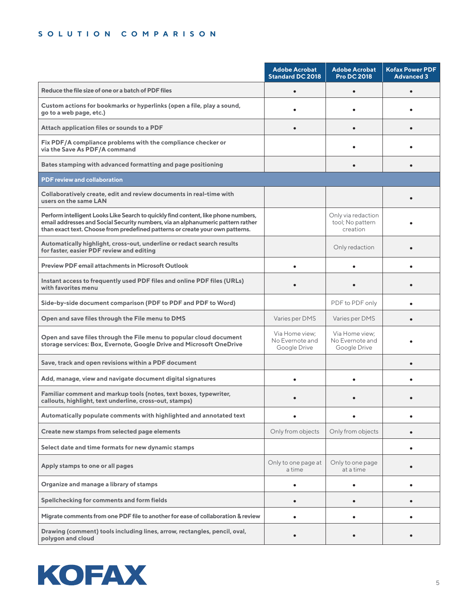|                                                                                                                                                                                                                                                        | <b>Adobe Acrobat</b><br>Standard DC 2018          | <b>Adobe Acrobat</b><br><b>Pro DC 2018</b>         | <b>Kofax Power PDF</b><br><b>Advanced 3</b> |
|--------------------------------------------------------------------------------------------------------------------------------------------------------------------------------------------------------------------------------------------------------|---------------------------------------------------|----------------------------------------------------|---------------------------------------------|
| Reduce the file size of one or a batch of PDF files                                                                                                                                                                                                    |                                                   |                                                    |                                             |
| Custom actions for bookmarks or hyperlinks (open a file, play a sound,<br>go to a web page, etc.)                                                                                                                                                      |                                                   |                                                    |                                             |
| Attach application files or sounds to a PDF                                                                                                                                                                                                            |                                                   |                                                    |                                             |
| Fix PDF/A compliance problems with the compliance checker or<br>via the Save As PDF/A command                                                                                                                                                          |                                                   |                                                    |                                             |
| Bates stamping with advanced formatting and page positioning                                                                                                                                                                                           |                                                   |                                                    |                                             |
| <b>PDF review and collaboration</b>                                                                                                                                                                                                                    |                                                   |                                                    |                                             |
| Collaboratively create, edit and review documents in real-time with<br>users on the same LAN                                                                                                                                                           |                                                   |                                                    |                                             |
| Perform intelligent Looks Like Search to quickly find content, like phone numbers,<br>email addresses and Social Security numbers, via an alphanumeric pattern rather<br>than exact text. Choose from predefined patterns or create your own patterns. |                                                   | Only via redaction<br>tool; No pattern<br>creation |                                             |
| Automatically highlight, cross-out, underline or redact search results<br>for faster, easier PDF review and editing                                                                                                                                    |                                                   | Only redaction                                     |                                             |
| <b>Preview PDF email attachments in Microsoft Outlook</b>                                                                                                                                                                                              |                                                   |                                                    |                                             |
| Instant access to frequently used PDF files and online PDF files (URLs)<br>with favorites menu                                                                                                                                                         |                                                   |                                                    |                                             |
| Side-by-side document comparison (PDF to PDF and PDF to Word)                                                                                                                                                                                          |                                                   | PDF to PDF only                                    |                                             |
| Open and save files through the File menu to DMS                                                                                                                                                                                                       | Varies per DMS                                    | Varies per DMS                                     |                                             |
| Open and save files through the File menu to popular cloud document<br>storage services: Box, Evernote, Google Drive and Microsoft OneDrive                                                                                                            | Via Home view:<br>No Evernote and<br>Google Drive | Via Home view:<br>No Evernote and<br>Google Drive  |                                             |
| Save, track and open revisions within a PDF document                                                                                                                                                                                                   |                                                   |                                                    |                                             |
| Add, manage, view and navigate document digital signatures                                                                                                                                                                                             |                                                   |                                                    |                                             |
| Familiar comment and markup tools (notes, text boxes, typewriter,<br>callouts, highlight, text underline, cross-out, stamps)                                                                                                                           |                                                   |                                                    |                                             |
| Automatically populate comments with highlighted and annotated text                                                                                                                                                                                    |                                                   |                                                    |                                             |
| Create new stamps from selected page elements                                                                                                                                                                                                          | Only from objects                                 | Only from objects                                  |                                             |
| Select date and time formats for new dynamic stamps                                                                                                                                                                                                    |                                                   |                                                    | ٠                                           |
| Apply stamps to one or all pages                                                                                                                                                                                                                       | Only to one page at<br>a time                     | Only to one page<br>at a time                      | $\bullet$                                   |
| Organize and manage a library of stamps                                                                                                                                                                                                                | ٠                                                 | ٠                                                  | $\bullet$                                   |
| Spellchecking for comments and form fields                                                                                                                                                                                                             | $\bullet$                                         |                                                    |                                             |
| Migrate comments from one PDF file to another for ease of collaboration & review                                                                                                                                                                       |                                                   |                                                    | ٠                                           |
| Drawing (comment) tools including lines, arrow, rectangles, pencil, oval,<br>polygon and cloud                                                                                                                                                         |                                                   |                                                    |                                             |

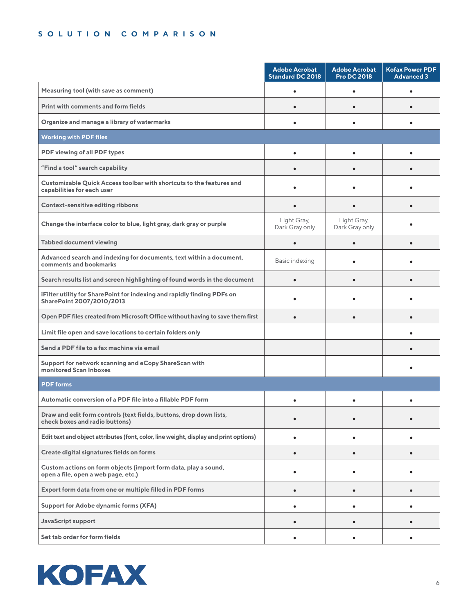|                                                                                                        | <b>Adobe Acrobat</b><br><b>Standard DC 2018</b> | <b>Adobe Acrobat</b><br><b>Pro DC 2018</b> | <b>Kofax Power PDF</b><br><b>Advanced 3</b> |
|--------------------------------------------------------------------------------------------------------|-------------------------------------------------|--------------------------------------------|---------------------------------------------|
| Measuring tool (with save as comment)                                                                  |                                                 |                                            |                                             |
| Print with comments and form fields                                                                    |                                                 |                                            |                                             |
| Organize and manage a library of watermarks                                                            |                                                 |                                            |                                             |
| <b>Working with PDF files</b>                                                                          |                                                 |                                            |                                             |
| PDF viewing of all PDF types                                                                           |                                                 |                                            |                                             |
| "Find a tool" search capability                                                                        |                                                 |                                            |                                             |
| Customizable Quick Access toolbar with shortcuts to the features and<br>capabilities for each user     |                                                 |                                            |                                             |
| <b>Context-sensitive editing ribbons</b>                                                               | ٠                                               |                                            |                                             |
| Change the interface color to blue, light gray, dark gray or purple                                    | Light Gray,<br>Dark Gray only                   | Light Gray,<br>Dark Gray only              |                                             |
| <b>Tabbed document viewing</b>                                                                         | $\bullet$                                       | $\bullet$                                  |                                             |
| Advanced search and indexing for documents, text within a document,<br>comments and bookmarks          | Basic indexing                                  |                                            |                                             |
| Search results list and screen highlighting of found words in the document                             |                                                 |                                            | $\bullet$                                   |
| iFilter utility for SharePoint for indexing and rapidly finding PDFs on<br>SharePoint 2007/2010/2013   |                                                 |                                            |                                             |
| Open PDF files created from Microsoft Office without having to save them first                         |                                                 | ٠                                          | $\bullet$                                   |
| Limit file open and save locations to certain folders only                                             |                                                 |                                            |                                             |
| Send a PDF file to a fax machine via email                                                             |                                                 |                                            |                                             |
| Support for network scanning and eCopy ShareScan with<br>monitored Scan Inboxes                        |                                                 |                                            |                                             |
| <b>PDF</b> forms                                                                                       |                                                 |                                            |                                             |
| Automatic conversion of a PDF file into a fillable PDF form                                            | ٠                                               |                                            |                                             |
| Draw and edit form controls (text fields, buttons, drop down lists,<br>check boxes and radio buttons)  |                                                 |                                            |                                             |
| Edit text and object attributes (font, color, line weight, display and print options)                  |                                                 |                                            |                                             |
| Create digital signatures fields on forms                                                              | $\bullet$                                       | $\bullet$                                  | $\bullet$                                   |
| Custom actions on form objects (import form data, play a sound,<br>open a file, open a web page, etc.) |                                                 |                                            |                                             |
| Export form data from one or multiple filled in PDF forms                                              | $\bullet$                                       | $\bullet$                                  | ٠                                           |
| Support for Adobe dynamic forms (XFA)                                                                  | ٠                                               |                                            | $\bullet$                                   |
| <b>JavaScript support</b>                                                                              | ٠                                               |                                            | ٠                                           |
| Set tab order for form fields                                                                          |                                                 |                                            |                                             |